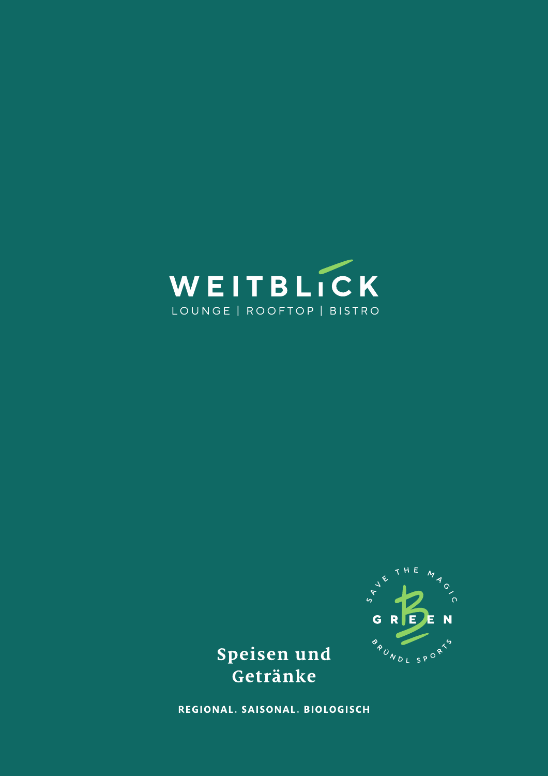



Speisen und Getränke

REGIONAL. SAISONAL. BIOLOGISCH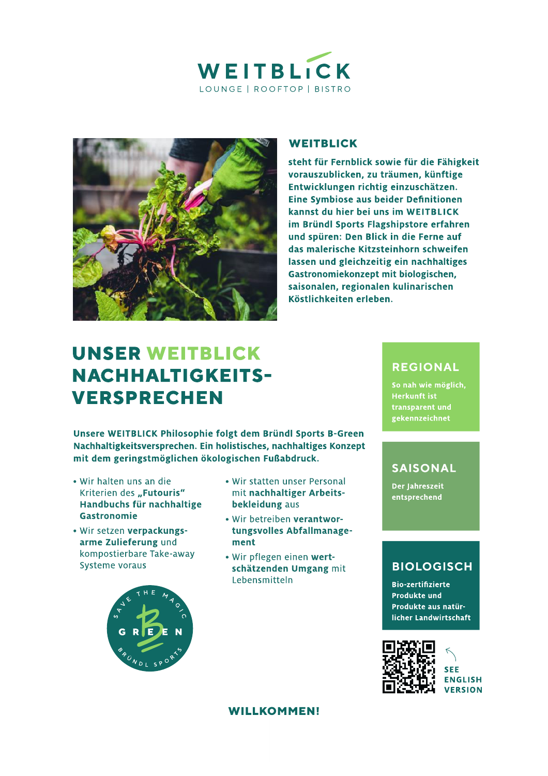



### **WEITBLICK**

steht für Fernblick sowie für die Fähigkeit vorauszublicken, zu träumen, künftige Entwicklungen richtig einzuschätzen. Eine Symbiose aus beider Definitionen kannst du hier bei uns im WEITBLICK im Bründl Sports Flagshipstore erfahren und spüren: Den Blick in die Ferne auf das malerische Kitzsteinhorn schweifen lassen und gleichzeitig ein nachhaltiges Gastronomiekonzept mit biologischen, saisonalen, regionalen kulinarischen Köstlichkeiten erleben.

# **UNSER WEITBLICK NACHHALTIGKEITS-VERSPRECHEN**

Unsere WEITBLICK Philosophie folgt dem Bründl Sports B-Green Nachhaltigkeitsversprechen. Ein holistisches, nachhaltiges Konzept mit dem geringstmöglichen ökologischen Fußabdruck.

- Wir halten uns an die Kriterien des "Futouris" Handbuchs für nachhaltige **Gastronomie**
- . Wir setzen verpackungsarme Zulieferung und kompostierbare Take-away Systeme voraus



- Wir statten unser Personal mit nachhaltiger Arbeitsbekleidung aus
- · Wir betreiben verantwortungsvolles Abfallmanagement
- Wir pflegen einen wertschätzenden Umgang mit Lebensmitteln

## **REGIONAL**

So nah wie möglich, **Herkunft ist** transparent und gekennzeichnet

## **SAISONAL**

Der Jahreszeit entsprechend

## **BIOLOGISCH**

**Bio-zertifizierte Produkte und** Produkte aus natürlicher Landwirtschaft



**WILLKOMMEN!**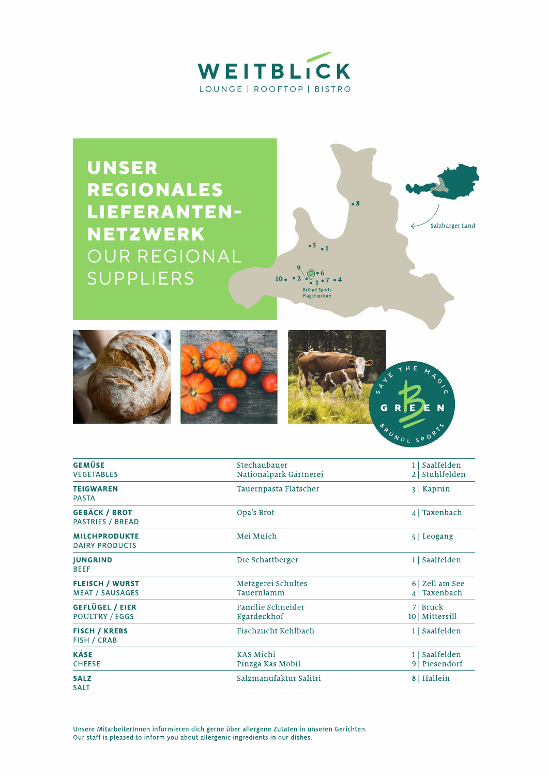



**FISCH / KREBS** Fischzucht Kehlbach 1 | Saalfelden FISH / CRAB **KÄSE KAS Michi** 1 | Saalfelden 9 Piesendorf **CHEESE** Pinzga Kas Mobil **SALZ** Salzmanufaktur Salitri 8 | Hallein **SALT** 

Unsere MitarbeiterInnen informieren dich gerne über allergene Zutaten in unseren Gerichten. Our staff is pleased to inform you about allergenic ingredients in our dishes.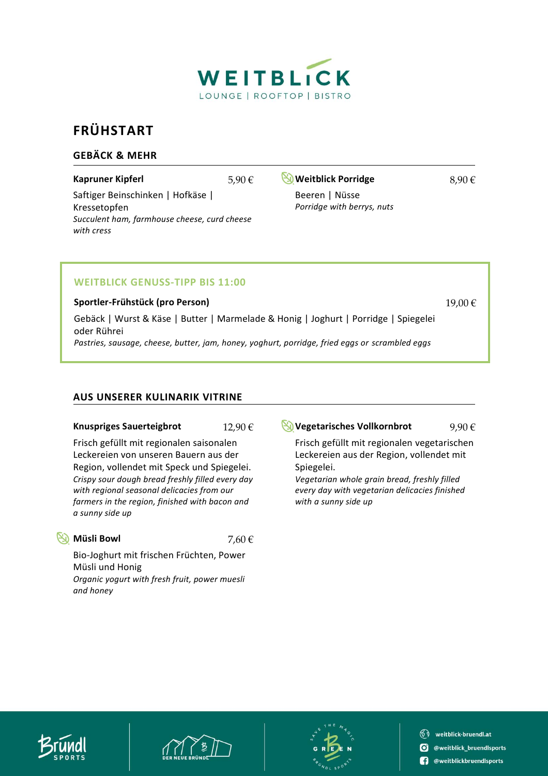

# **FRÜHSTART**

### **GEBÄCK & MEHR**

Saftiger Beinschinken | Hofkäse | Kressetopfen *Succulent ham, farmhouse cheese, curd cheese with cress*

**Kapruner Kipferl** 5,90 € **Weitblick Porridge** 8,90 €

*Porridge with berrys, nuts*

Beeren | Nüsse

### **WEITBLICK GENUSS-TIPP BIS 11:00**

**Sportler-Frühstück (pro Person)** 19,00 €

Gebäck | Wurst & Käse | Butter | Marmelade & Honig | Joghurt | Porridge | Spiegelei oder Rührei *Pastries, sausage, cheese, butter, jam, honey, yoghurt, porridge, fried eggs or scrambled eggs*

### **AUS UNSERER KULINARIK VITRINE**

### **Knuspriges Sauerteigbrot** 12,90 € **Vegetarisches Vollkornbrot** 9,90 €

Frisch gefüllt mit regionalen saisonalen Leckereien von unseren Bauern aus der Region, vollendet mit Speck und Spiegelei. *Crispy sour dough bread freshly filled every day with regional seasonal delicacies from our farmers in the region, finished with bacon and a sunny side up*

**Müsli Bowl** 7,60 €

Bio-Joghurt mit frischen Früchten, Power Müsli und Honig *Organic yogurt with fresh fruit, power muesli and honey*

Frisch gefüllt mit regionalen vegetarischen Leckereien aus der Region, vollendet mit Spiegelei.

*Vegetarian whole grain bread, freshly filled every day with vegetarian delicacies finished with a sunny side up*





SV weitblick-bruendl.at **O** @weitblick\_bruendlsports **(1)** @weitblickbruendlsports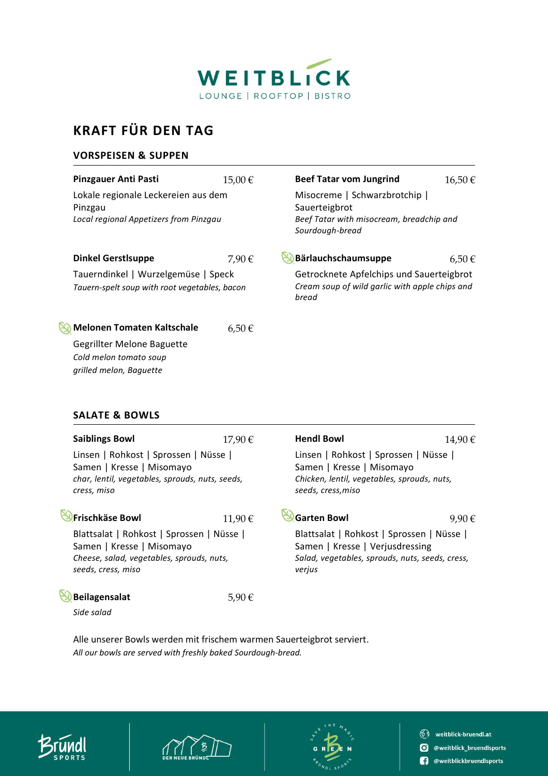

# **KRAFT FÜR DEN TAG**

### **VORSPEISEN & SUPPEN**

| <b>Pinzgauer Anti Pasti</b>                                                                                                 | 15,00€     | <b>Beef Tatar vom Jungrind</b>                                                                                | 16,50€     |
|-----------------------------------------------------------------------------------------------------------------------------|------------|---------------------------------------------------------------------------------------------------------------|------------|
| Lokale regionale Leckereien aus dem<br>Pinzgau<br>Local regional Appetizers from Pinzgau                                    |            | Misocreme   Schwarzbrotchip  <br>Sauerteigbrot<br>Beef Tatar with misocream, breadchip and<br>Sourdough-bread |            |
| <b>Dinkel Gerstlsuppe</b>                                                                                                   | 7,90€      | Bärlauchschaumsuppe                                                                                           | $6,50 \in$ |
| Tauerndinkel   Wurzelgemüse   Speck<br>Tauern-spelt soup with root vegetables, bacon                                        |            | Getrocknete Apfelchips und Sauerteigbrot<br>Cream soup of wild garlic with apple chips and<br>bread           |            |
| <b>Melonen Tomaten Kaltschale</b><br><b>Gegrillter Melone Baguette</b><br>Cold melon tomato soup<br>grilled melon, Baquette | $6,50 \in$ |                                                                                                               |            |
| <b>SALATE &amp; BOWLS</b>                                                                                                   |            |                                                                                                               |            |

### **SALATE & BOWLS**

| <b>Saiblings Bowl</b>                                                        | 17,90€ | <b>Hendl Bowl</b>                                                        | 14,90 € |
|------------------------------------------------------------------------------|--------|--------------------------------------------------------------------------|---------|
| Linsen   Rohkost   Sprossen   Nüsse                                          |        | Linsen   Rohkost   Sprossen   Nüsse                                      |         |
| Samen   Kresse   Misomayo<br>char, lentil, vegetables, sprouds, nuts, seeds, |        | Samen   Kresse   Misomayo<br>Chicken, lentil, vegetables, sprouds, nuts, |         |
|                                                                              |        |                                                                          |         |
| <b>Frischkäse Bowl</b>                                                       | 11,90€ | <b>Garten Bowl</b>                                                       | 9,90€   |
| Blattsalat   Rohkost   Sprossen   Nüsse                                      |        | Blattsalat   Rohkost   Sprossen   Nüsse                                  |         |
| Samen   Kresse   Misomayo                                                    |        | Samen   Kresse   Verjusdressing                                          |         |
| Cheese, salad, vegetables, sprouds, nuts,                                    |        | Salad, vegetables, sprouds, nuts, seeds, cress,                          |         |
| seeds, cress, miso                                                           |        | verjus                                                                   |         |
| <b>Beilagensalat</b>                                                         | 5,90 € |                                                                          |         |
| Side salad                                                                   |        |                                                                          |         |

Alle unserer Bowls werden mit frischem warmen Sauerteigbrot serviert. *All our bowls are served with freshly baked Sourdough-bread.*







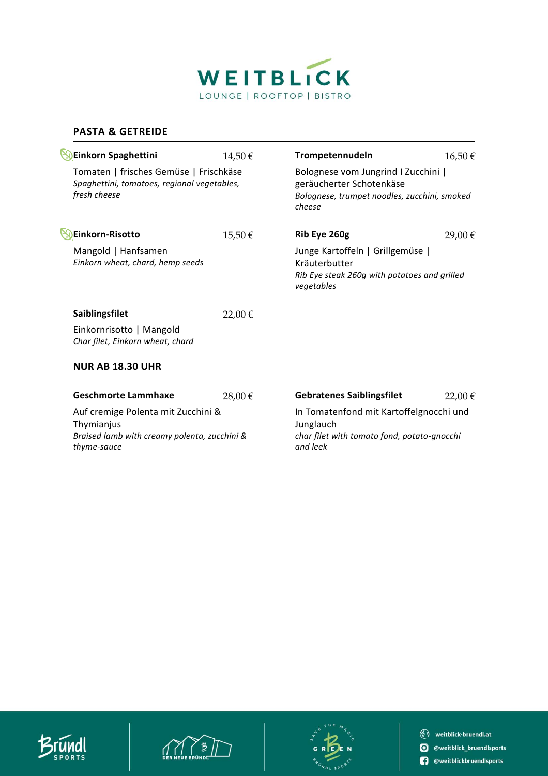

### **PASTA & GETREIDE**

| Einkorn Spaghettini                                                                                   | 14,50€ | Trompetennudeln                                                                                                           | 16,50€ |
|-------------------------------------------------------------------------------------------------------|--------|---------------------------------------------------------------------------------------------------------------------------|--------|
| Tomaten   frisches Gemüse   Frischkäse<br>Spaghettini, tomatoes, regional vegetables,<br>fresh cheese |        | Bolognese vom Jungrind I Zucchini  <br>geräucherter Schotenkäse<br>Bolognese, trumpet noodles, zucchini, smoked<br>cheese |        |
| Einkorn-Risotto                                                                                       | 15,50€ | Rib Eye 260g                                                                                                              | 29,00€ |
| Mangold   Hanfsamen<br>Einkorn wheat, chard, hemp seeds                                               |        | Junge Kartoffeln   Grillgemüse  <br>Kräuterbutter<br>Rib Eye steak 260g with potatoes and grilled<br>vegetables           |        |
| Saiblingsfilet                                                                                        | 22,00€ |                                                                                                                           |        |
| Einkornrisotto   Mangold<br>Char filet, Einkorn wheat, chard                                          |        |                                                                                                                           |        |
| <b>NUR AB 18.30 UHR</b>                                                                               |        |                                                                                                                           |        |
| <b>Geschmorte Lammhaxe</b>                                                                            | 28,00€ | <b>Gebratenes Saiblingsfilet</b>                                                                                          | 22,00€ |
| Auf cremige Polenta mit Zucchini &                                                                    |        | In Tomatenfond mit Kartoffelgnocchi und                                                                                   |        |
| Thymianjus<br>Braised lamb with creamy polenta, zucchini &<br>thyme-sauce                             |        | Junglauch<br>char filet with tomato fond, potato-gnocchi<br>and leek                                                      |        |
|                                                                                                       |        |                                                                                                                           |        |





 $\circledS$  weitblick-bruendl.at **O** @weitblick\_bruendlsports <sup>0</sup> @weitblickbruendlsports